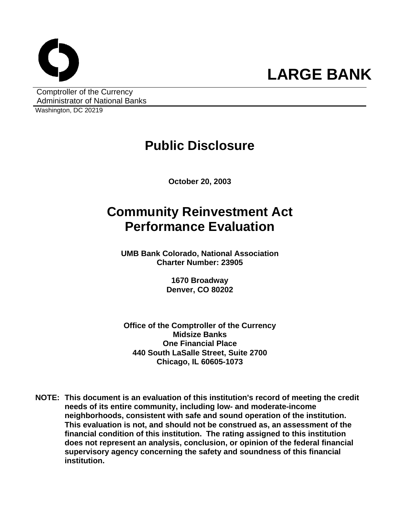

Comptroller of the Currency Administrator of National Banks

Washington, DC 20219

# **Public Disclosure**

**October 20, 2003** 

# **Community Reinvestment Act Performance Evaluation**

**UMB Bank Colorado, National Association Charter Number: 23905** 

> **1670 Broadway Denver, CO 80202**

**Office of the Comptroller of the Currency Midsize Banks One Financial Place 440 South LaSalle Street, Suite 2700 Chicago, IL 60605-1073** 

**NOTE: This document is an evaluation of this institution's record of meeting the credit needs of its entire community, including low- and moderate-income neighborhoods, consistent with safe and sound operation of the institution.** **This evaluation is not, and should not be construed as, an assessment of the financial condition of this institution. The rating assigned to this institution does not represent an analysis, conclusion, or opinion of the federal financial supervisory agency concerning the safety and soundness of this financial institution.**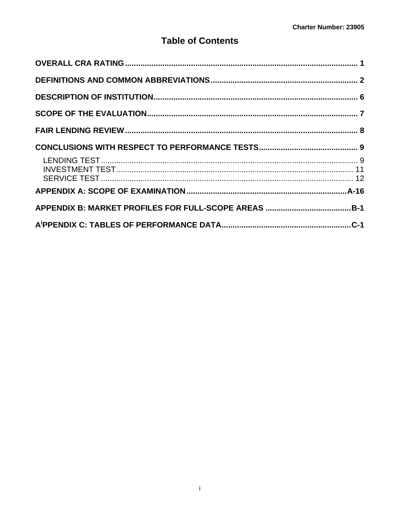## **Table of Contents**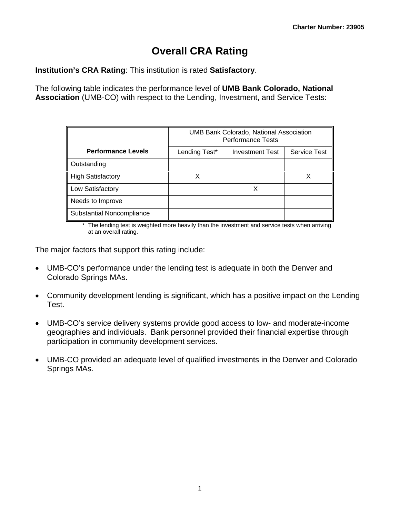# **Overall CRA Rating**

<span id="page-2-0"></span>**Institution's CRA Rating**: This institution is rated **Satisfactory**.

The following table indicates the performance level of **UMB Bank Colorado, National Association** (UMB-CO) with respect to the Lending, Investment, and Service Tests:

|                           | UMB Bank Colorado, National Association<br><b>Performance Tests</b> |                        |                     |  |  |  |  |  |  |  |
|---------------------------|---------------------------------------------------------------------|------------------------|---------------------|--|--|--|--|--|--|--|
| <b>Performance Levels</b> | Lending Test*                                                       | <b>Investment Test</b> | <b>Service Test</b> |  |  |  |  |  |  |  |
| Outstanding               |                                                                     |                        |                     |  |  |  |  |  |  |  |
| <b>High Satisfactory</b>  |                                                                     |                        | X                   |  |  |  |  |  |  |  |
| Low Satisfactory          |                                                                     | x                      |                     |  |  |  |  |  |  |  |
| Needs to Improve          |                                                                     |                        |                     |  |  |  |  |  |  |  |
| Substantial Noncompliance |                                                                     |                        |                     |  |  |  |  |  |  |  |

\* The lending test is weighted more heavily than the investment and service tests when arriving at an overall rating.

The major factors that support this rating include:

- UMB-CO's performance under the lending test is adequate in both the Denver and Colorado Springs MAs.
- Community development lending is significant, which has a positive impact on the Lending Test.
- UMB-CO's service delivery systems provide good access to low- and moderate-income geographies and individuals. Bank personnel provided their financial expertise through participation in community development services.
- UMB-CO provided an adequate level of qualified investments in the Denver and Colorado Springs MAs.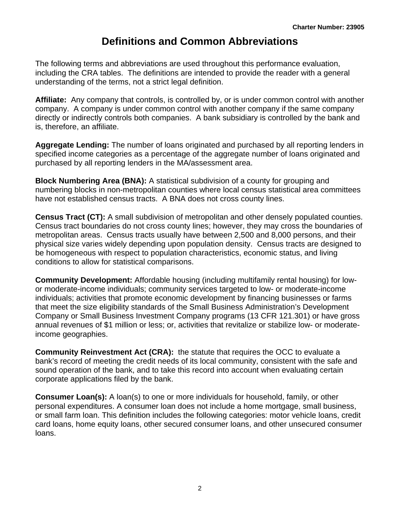# **Definitions and Common Abbreviations**

<span id="page-3-0"></span>The following terms and abbreviations are used throughout this performance evaluation, including the CRA tables. The definitions are intended to provide the reader with a general understanding of the terms, not a strict legal definition.

**Affiliate:** Any company that controls, is controlled by, or is under common control with another company. A company is under common control with another company if the same company directly or indirectly controls both companies. A bank subsidiary is controlled by the bank and is, therefore, an affiliate.

**Aggregate Lending:** The number of loans originated and purchased by all reporting lenders in specified income categories as a percentage of the aggregate number of loans originated and purchased by all reporting lenders in the MA/assessment area.

**Block Numbering Area (BNA):** A statistical subdivision of a county for grouping and numbering blocks in non-metropolitan counties where local census statistical area committees have not established census tracts. A BNA does not cross county lines.

**Census Tract (CT):** A small subdivision of metropolitan and other densely populated counties. Census tract boundaries do not cross county lines; however, they may cross the boundaries of metropolitan areas. Census tracts usually have between 2,500 and 8,000 persons, and their physical size varies widely depending upon population density. Census tracts are designed to be homogeneous with respect to population characteristics, economic status, and living conditions to allow for statistical comparisons.

**Community Development:** Affordable housing (including multifamily rental housing) for lowor moderate-income individuals; community services targeted to low- or moderate-income individuals; activities that promote economic development by financing businesses or farms that meet the size eligibility standards of the Small Business Administration's Development Company or Small Business Investment Company programs (13 CFR 121.301) or have gross annual revenues of \$1 million or less; or, activities that revitalize or stabilize low- or moderateincome geographies.

**Community Reinvestment Act (CRA):** the statute that requires the OCC to evaluate a bank's record of meeting the credit needs of its local community, consistent with the safe and sound operation of the bank, and to take this record into account when evaluating certain corporate applications filed by the bank.

**Consumer Loan(s):** A loan(s) to one or more individuals for household, family, or other personal expenditures. A consumer loan does not include a home mortgage, small business, or small farm loan. This definition includes the following categories: motor vehicle loans, credit card loans, home equity loans, other secured consumer loans, and other unsecured consumer loans.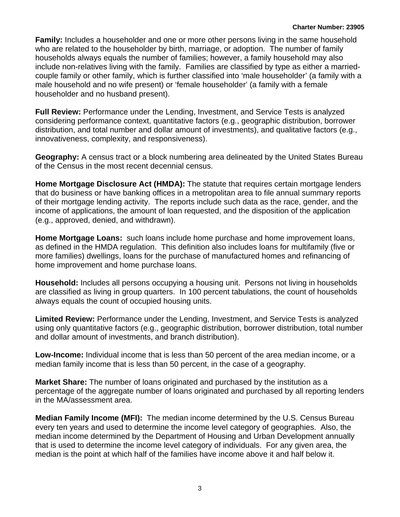**Family:** Includes a householder and one or more other persons living in the same household who are related to the householder by birth, marriage, or adoption. The number of family households always equals the number of families; however, a family household may also include non-relatives living with the family. Families are classified by type as either a marriedcouple family or other family, which is further classified into 'male householder' (a family with a male household and no wife present) or 'female householder' (a family with a female householder and no husband present).

**Full Review:** Performance under the Lending, Investment, and Service Tests is analyzed considering performance context, quantitative factors (e.g., geographic distribution, borrower distribution, and total number and dollar amount of investments), and qualitative factors (e.g., innovativeness, complexity, and responsiveness).

**Geography:** A census tract or a block numbering area delineated by the United States Bureau of the Census in the most recent decennial census.

**Home Mortgage Disclosure Act (HMDA):** The statute that requires certain mortgage lenders that do business or have banking offices in a metropolitan area to file annual summary reports of their mortgage lending activity. The reports include such data as the race, gender, and the income of applications, the amount of loan requested, and the disposition of the application (e.g., approved, denied, and withdrawn).

**Home Mortgage Loans:** such loans include home purchase and home improvement loans, as defined in the HMDA regulation. This definition also includes loans for multifamily (five or more families) dwellings, loans for the purchase of manufactured homes and refinancing of home improvement and home purchase loans.

**Household:** Includes all persons occupying a housing unit. Persons not living in households are classified as living in group quarters. In 100 percent tabulations, the count of households always equals the count of occupied housing units.

**Limited Review:** Performance under the Lending, Investment, and Service Tests is analyzed using only quantitative factors (e.g., geographic distribution, borrower distribution, total number and dollar amount of investments, and branch distribution).

**Low-Income:** Individual income that is less than 50 percent of the area median income, or a median family income that is less than 50 percent, in the case of a geography.

**Market Share:** The number of loans originated and purchased by the institution as a percentage of the aggregate number of loans originated and purchased by all reporting lenders in the MA/assessment area.

**Median Family Income (MFI):** The median income determined by the U.S. Census Bureau every ten years and used to determine the income level category of geographies. Also, the median income determined by the Department of Housing and Urban Development annually that is used to determine the income level category of individuals. For any given area, the median is the point at which half of the families have income above it and half below it.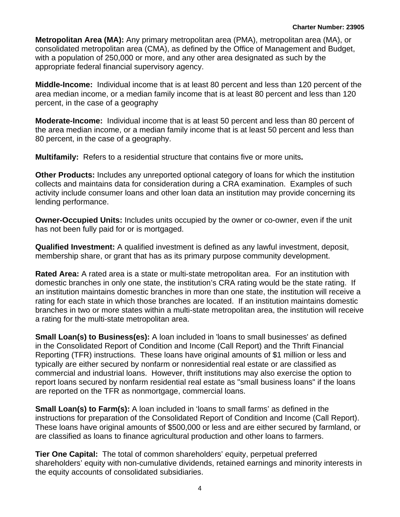**Metropolitan Area (MA):** Any primary metropolitan area (PMA), metropolitan area (MA), or consolidated metropolitan area (CMA), as defined by the Office of Management and Budget, with a population of 250,000 or more, and any other area designated as such by the appropriate federal financial supervisory agency.

**Middle-Income:** Individual income that is at least 80 percent and less than 120 percent of the area median income, or a median family income that is at least 80 percent and less than 120 percent, in the case of a geography

**Moderate-Income:** Individual income that is at least 50 percent and less than 80 percent of the area median income, or a median family income that is at least 50 percent and less than 80 percent, in the case of a geography.

**Multifamily:** Refers to a residential structure that contains five or more units**.**

**Other Products:** Includes any unreported optional category of loans for which the institution collects and maintains data for consideration during a CRA examination. Examples of such activity include consumer loans and other loan data an institution may provide concerning its lending performance.

**Owner-Occupied Units:** Includes units occupied by the owner or co-owner, even if the unit has not been fully paid for or is mortgaged.

**Qualified Investment:** A qualified investment is defined as any lawful investment, deposit, membership share, or grant that has as its primary purpose community development.

**Rated Area:** A rated area is a state or multi-state metropolitan area. For an institution with domestic branches in only one state, the institution's CRA rating would be the state rating. If an institution maintains domestic branches in more than one state, the institution will receive a rating for each state in which those branches are located. If an institution maintains domestic branches in two or more states within a multi-state metropolitan area, the institution will receive a rating for the multi-state metropolitan area.

**Small Loan(s) to Business(es):** A loan included in 'loans to small businesses' as defined in the Consolidated Report of Condition and Income (Call Report) and the Thrift Financial Reporting (TFR) instructions. These loans have original amounts of \$1 million or less and typically are either secured by nonfarm or nonresidential real estate or are classified as commercial and industrial loans. However, thrift institutions may also exercise the option to report loans secured by nonfarm residential real estate as "small business loans" if the loans are reported on the TFR as nonmortgage, commercial loans.

**Small Loan(s) to Farm(s):** A loan included in 'loans to small farms' as defined in the instructions for preparation of the Consolidated Report of Condition and Income (Call Report). These loans have original amounts of \$500,000 or less and are either secured by farmland, or are classified as loans to finance agricultural production and other loans to farmers.

**Tier One Capital:** The total of common shareholders' equity, perpetual preferred shareholders' equity with non-cumulative dividends, retained earnings and minority interests in the equity accounts of consolidated subsidiaries.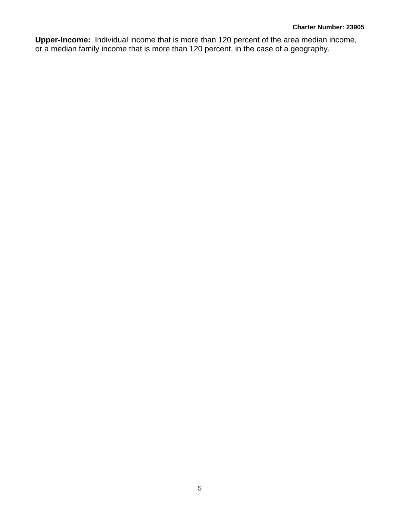**Upper-Income:** Individual income that is more than 120 percent of the area median income, or a median family income that is more than 120 percent, in the case of a geography.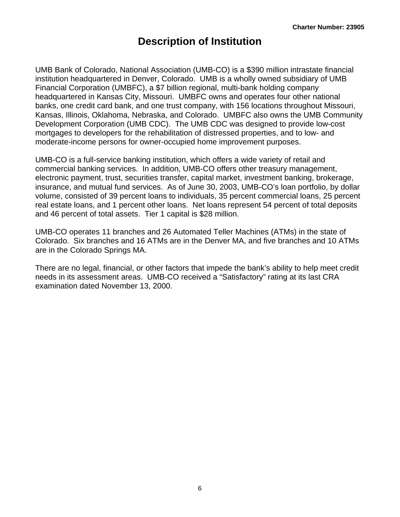## **Description of Institution**

<span id="page-7-0"></span>UMB Bank of Colorado, National Association (UMB-CO) is a \$390 million intrastate financial institution headquartered in Denver, Colorado. UMB is a wholly owned subsidiary of UMB Financial Corporation (UMBFC), a \$7 billion regional, multi-bank holding company headquartered in Kansas City, Missouri. UMBFC owns and operates four other national banks, one credit card bank, and one trust company, with 156 locations throughout Missouri, Kansas, Illinois, Oklahoma, Nebraska, and Colorado. UMBFC also owns the UMB Community Development Corporation (UMB CDC). The UMB CDC was designed to provide low-cost mortgages to developers for the rehabilitation of distressed properties, and to low- and moderate-income persons for owner-occupied home improvement purposes.

UMB-CO is a full-service banking institution, which offers a wide variety of retail and commercial banking services. In addition, UMB-CO offers other treasury management, electronic payment, trust, securities transfer, capital market, investment banking, brokerage, insurance, and mutual fund services. As of June 30, 2003, UMB-CO's loan portfolio, by dollar volume, consisted of 39 percent loans to individuals, 35 percent commercial loans, 25 percent real estate loans, and 1 percent other loans. Net loans represent 54 percent of total deposits and 46 percent of total assets. Tier 1 capital is \$28 million.

UMB-CO operates 11 branches and 26 Automated Teller Machines (ATMs) in the state of Colorado. Six branches and 16 ATMs are in the Denver MA, and five branches and 10 ATMs are in the Colorado Springs MA.

There are no legal, financial, or other factors that impede the bank's ability to help meet credit needs in its assessment areas. UMB-CO received a "Satisfactory" rating at its last CRA examination dated November 13, 2000.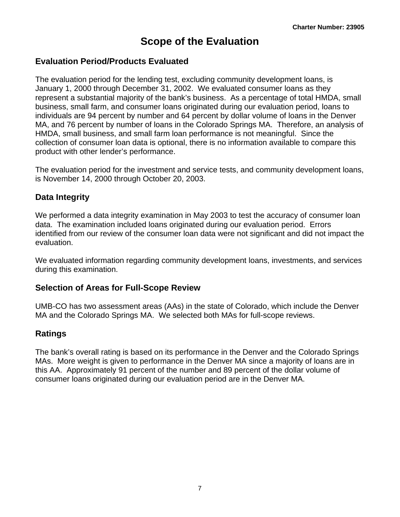## **Scope of the Evaluation**

#### <span id="page-8-0"></span>**Evaluation Period/Products Evaluated**

The evaluation period for the lending test, excluding community development loans, is January 1, 2000 through December 31, 2002. We evaluated consumer loans as they represent a substantial majority of the bank's business. As a percentage of total HMDA, small business, small farm, and consumer loans originated during our evaluation period, loans to individuals are 94 percent by number and 64 percent by dollar volume of loans in the Denver MA, and 76 percent by number of loans in the Colorado Springs MA. Therefore, an analysis of HMDA, small business, and small farm loan performance is not meaningful. Since the collection of consumer loan data is optional, there is no information available to compare this product with other lender's performance.

The evaluation period for the investment and service tests, and community development loans, is November 14, 2000 through October 20, 2003.

#### **Data Integrity**

We performed a data integrity examination in May 2003 to test the accuracy of consumer loan data. The examination included loans originated during our evaluation period. Errors identified from our review of the consumer loan data were not significant and did not impact the evaluation.

We evaluated information regarding community development loans, investments, and services during this examination.

#### **Selection of Areas for Full-Scope Review**

UMB-CO has two assessment areas (AAs) in the state of Colorado, which include the Denver MA and the Colorado Springs MA. We selected both MAs for full-scope reviews.

### **Ratings**

The bank's overall rating is based on its performance in the Denver and the Colorado Springs MAs. More weight is given to performance in the Denver MA since a majority of loans are in this AA. Approximately 91 percent of the number and 89 percent of the dollar volume of consumer loans originated during our evaluation period are in the Denver MA.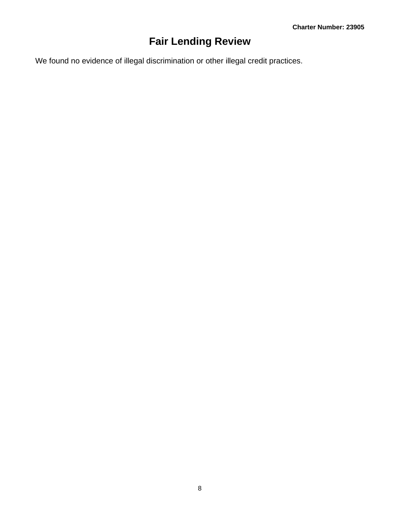# **Fair Lending Review**

<span id="page-9-0"></span>We found no evidence of illegal discrimination or other illegal credit practices.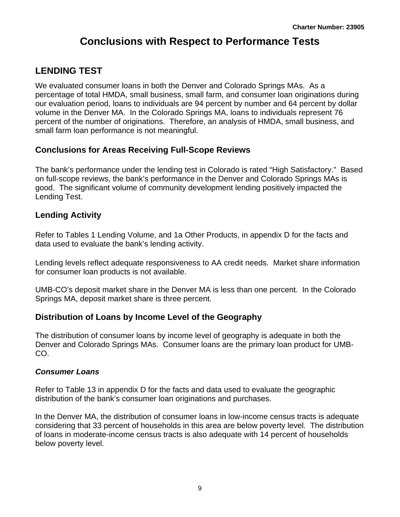# **Conclusions with Respect to Performance Tests**

## <span id="page-10-0"></span>**LENDING TEST**

We evaluated consumer loans in both the Denver and Colorado Springs MAs. As a percentage of total HMDA, small business, small farm, and consumer loan originations during our evaluation period, loans to individuals are 94 percent by number and 64 percent by dollar volume in the Denver MA. In the Colorado Springs MA, loans to individuals represent 76 percent of the number of originations. Therefore, an analysis of HMDA, small business, and small farm loan performance is not meaningful.

## **Conclusions for Areas Receiving Full-Scope Reviews**

The bank's performance under the lending test in Colorado is rated "High Satisfactory." Based on full-scope reviews, the bank's performance in the Denver and Colorado Springs MAs is good. The significant volume of community development lending positively impacted the Lending Test.

### **Lending Activity**

Refer to Tables 1 Lending Volume, and 1a Other Products, in appendix D for the facts and data used to evaluate the bank's lending activity.

Lending levels reflect adequate responsiveness to AA credit needs. Market share information for consumer loan products is not available.

UMB-CO's deposit market share in the Denver MA is less than one percent. In the Colorado Springs MA, deposit market share is three percent.

### **Distribution of Loans by Income Level of the Geography**

The distribution of consumer loans by income level of geography is adequate in both the Denver and Colorado Springs MAs. Consumer loans are the primary loan product for UMB-CO.

#### *Consumer Loans*

Refer to Table 13 in appendix D for the facts and data used to evaluate the geographic distribution of the bank's consumer loan originations and purchases.

In the Denver MA, the distribution of consumer loans in low-income census tracts is adequate considering that 33 percent of households in this area are below poverty level. The distribution of loans in moderate-income census tracts is also adequate with 14 percent of households below poverty level.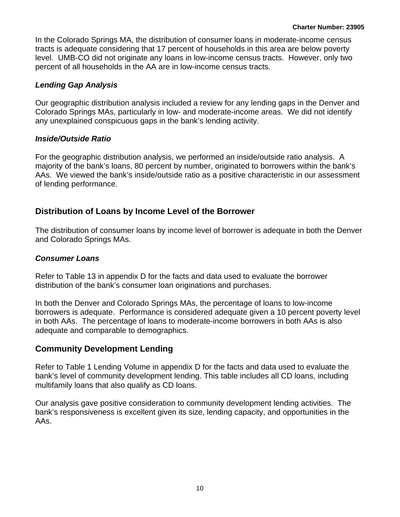In the Colorado Springs MA, the distribution of consumer loans in moderate-income census tracts is adequate considering that 17 percent of households in this area are below poverty level. UMB-CO did not originate any loans in low-income census tracts. However, only two percent of all households in the AA are in low-income census tracts.

#### *Lending Gap Analysis*

Our geographic distribution analysis included a review for any lending gaps in the Denver and Colorado Springs MAs, particularly in low- and moderate-income areas. We did not identify any unexplained conspicuous gaps in the bank's lending activity.

#### *Inside/Outside Ratio*

For the geographic distribution analysis, we performed an inside/outside ratio analysis. A majority of the bank's loans, 80 percent by number, originated to borrowers within the bank's AAs. We viewed the bank's inside/outside ratio as a positive characteristic in our assessment of lending performance.

## **Distribution of Loans by Income Level of the Borrower**

The distribution of consumer loans by income level of borrower is adequate in both the Denver and Colorado Springs MAs.

#### *Consumer Loans*

Refer to Table 13 in appendix D for the facts and data used to evaluate the borrower distribution of the bank's consumer loan originations and purchases.

In both the Denver and Colorado Springs MAs, the percentage of loans to low-income borrowers is adequate. Performance is considered adequate given a 10 percent poverty level in both AAs. The percentage of loans to moderate-income borrowers in both AAs is also adequate and comparable to demographics.

### **Community Development Lending**

Refer to Table 1 Lending Volume in appendix D for the facts and data used to evaluate the bank's level of community development lending. This table includes all CD loans, including multifamily loans that also qualify as CD loans.

Our analysis gave positive consideration to community development lending activities. The bank's responsiveness is excellent given its size, lending capacity, and opportunities in the AAs.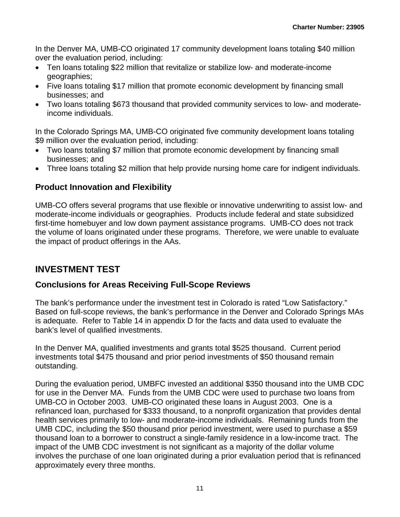<span id="page-12-0"></span>In the Denver MA, UMB-CO originated 17 community development loans totaling \$40 million over the evaluation period, including:

- Ten loans totaling \$22 million that revitalize or stabilize low- and moderate-income geographies;
- Five loans totaling \$17 million that promote economic development by financing small businesses; and
- Two loans totaling \$673 thousand that provided community services to low- and moderateincome individuals.

In the Colorado Springs MA, UMB-CO originated five community development loans totaling \$9 million over the evaluation period, including:

- Two loans totaling \$7 million that promote economic development by financing small businesses; and
- Three loans totaling \$2 million that help provide nursing home care for indigent individuals.

### **Product Innovation and Flexibility**

UMB-CO offers several programs that use flexible or innovative underwriting to assist low- and moderate-income individuals or geographies. Products include federal and state subsidized first-time homebuyer and low down payment assistance programs. UMB-CO does not track the volume of loans originated under these programs. Therefore, we were unable to evaluate the impact of product offerings in the AAs.

## **INVESTMENT TEST**

#### **Conclusions for Areas Receiving Full-Scope Reviews**

The bank's performance under the investment test in Colorado is rated "Low Satisfactory." Based on full-scope reviews, the bank's performance in the Denver and Colorado Springs MAs is adequate. Refer to Table 14 in appendix D for the facts and data used to evaluate the bank's level of qualified investments.

In the Denver MA, qualified investments and grants total \$525 thousand. Current period investments total \$475 thousand and prior period investments of \$50 thousand remain outstanding.

During the evaluation period, UMBFC invested an additional \$350 thousand into the UMB CDC for use in the Denver MA. Funds from the UMB CDC were used to purchase two loans from UMB-CO in October 2003. UMB-CO originated these loans in August 2003. One is a refinanced loan, purchased for \$333 thousand, to a nonprofit organization that provides dental health services primarily to low- and moderate-income individuals. Remaining funds from the UMB CDC, including the \$50 thousand prior period investment, were used to purchase a \$59 thousand loan to a borrower to construct a single-family residence in a low-income tract. The impact of the UMB CDC investment is not significant as a majority of the dollar volume involves the purchase of one loan originated during a prior evaluation period that is refinanced approximately every three months.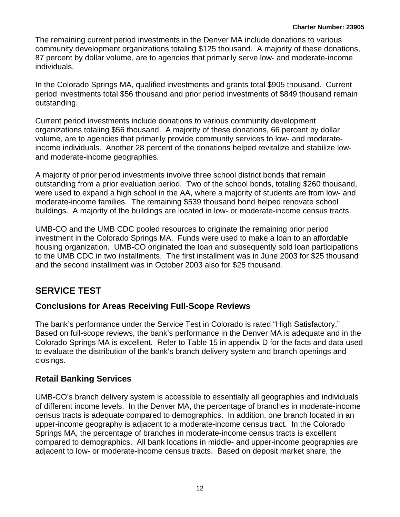<span id="page-13-0"></span>The remaining current period investments in the Denver MA include donations to various community development organizations totaling \$125 thousand. A majority of these donations, 87 percent by dollar volume, are to agencies that primarily serve low- and moderate-income individuals.

In the Colorado Springs MA, qualified investments and grants total \$905 thousand. Current period investments total \$56 thousand and prior period investments of \$849 thousand remain outstanding.

Current period investments include donations to various community development organizations totaling \$56 thousand. A majority of these donations, 66 percent by dollar volume, are to agencies that primarily provide community services to low- and moderateincome individuals. Another 28 percent of the donations helped revitalize and stabilize lowand moderate-income geographies.

A majority of prior period investments involve three school district bonds that remain outstanding from a prior evaluation period. Two of the school bonds, totaling \$260 thousand, were used to expand a high school in the AA, where a majority of students are from low- and moderate-income families. The remaining \$539 thousand bond helped renovate school buildings. A majority of the buildings are located in low- or moderate-income census tracts.

UMB-CO and the UMB CDC pooled resources to originate the remaining prior period investment in the Colorado Springs MA. Funds were used to make a loan to an affordable housing organization. UMB-CO originated the loan and subsequently sold loan participations to the UMB CDC in two installments. The first installment was in June 2003 for \$25 thousand and the second installment was in October 2003 also for \$25 thousand.

## **SERVICE TEST**

### **Conclusions for Areas Receiving Full-Scope Reviews**

The bank's performance under the Service Test in Colorado is rated "High Satisfactory." Based on full-scope reviews, the bank's performance in the Denver MA is adequate and in the Colorado Springs MA is excellent. Refer to Table 15 in appendix D for the facts and data used to evaluate the distribution of the bank's branch delivery system and branch openings and closings.

### **Retail Banking Services**

UMB-CO's branch delivery system is accessible to essentially all geographies and individuals of different income levels. In the Denver MA, the percentage of branches in moderate-income census tracts is adequate compared to demographics. In addition, one branch located in an upper-income geography is adjacent to a moderate-income census tract. In the Colorado Springs MA, the percentage of branches in moderate-income census tracts is excellent compared to demographics. All bank locations in middle- and upper-income geographies are adjacent to low- or moderate-income census tracts. Based on deposit market share, the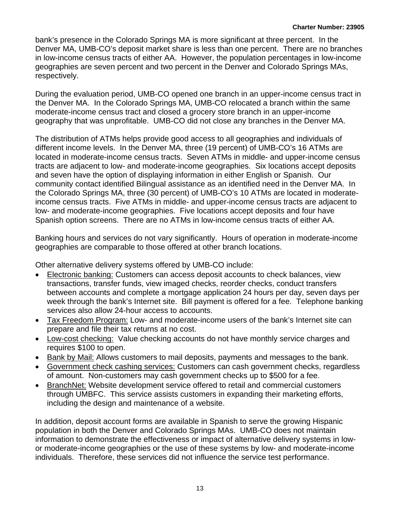bank's presence in the Colorado Springs MA is more significant at three percent. In the Denver MA, UMB-CO's deposit market share is less than one percent. There are no branches in low-income census tracts of either AA. However, the population percentages in low-income geographies are seven percent and two percent in the Denver and Colorado Springs MAs, respectively.

During the evaluation period, UMB-CO opened one branch in an upper-income census tract in the Denver MA. In the Colorado Springs MA, UMB-CO relocated a branch within the same moderate-income census tract and closed a grocery store branch in an upper-income geography that was unprofitable. UMB-CO did not close any branches in the Denver MA.

The distribution of ATMs helps provide good access to all geographies and individuals of different income levels. In the Denver MA, three (19 percent) of UMB-CO's 16 ATMs are located in moderate-income census tracts. Seven ATMs in middle- and upper-income census tracts are adjacent to low- and moderate-income geographies. Six locations accept deposits and seven have the option of displaying information in either English or Spanish. Our community contact identified Bilingual assistance as an identified need in the Denver MA. In the Colorado Springs MA, three (30 percent) of UMB-CO's 10 ATMs are located in moderateincome census tracts. Five ATMs in middle- and upper-income census tracts are adjacent to low- and moderate-income geographies. Five locations accept deposits and four have Spanish option screens. There are no ATMs in low-income census tracts of either AA.

Banking hours and services do not vary significantly. Hours of operation in moderate-income geographies are comparable to those offered at other branch locations.

Other alternative delivery systems offered by UMB-CO include:

- Electronic banking: Customers can access deposit accounts to check balances, view transactions, transfer funds, view imaged checks, reorder checks, conduct transfers between accounts and complete a mortgage application 24 hours per day, seven days per week through the bank's Internet site. Bill payment is offered for a fee. Telephone banking services also allow 24-hour access to accounts.
- Tax Freedom Program: Low- and moderate-income users of the bank's Internet site can prepare and file their tax returns at no cost.
- Low-cost checking: Value checking accounts do not have monthly service charges and requires \$100 to open.
- Bank by Mail: Allows customers to mail deposits, payments and messages to the bank.
- Government check cashing services: Customers can cash government checks, regardless of amount. Non-customers may cash government checks up to \$500 for a fee.
- BranchNet: Website development service offered to retail and commercial customers through UMBFC. This service assists customers in expanding their marketing efforts, including the design and maintenance of a website.

In addition, deposit account forms are available in Spanish to serve the growing Hispanic population in both the Denver and Colorado Springs MAs. UMB-CO does not maintain information to demonstrate the effectiveness or impact of alternative delivery systems in lowor moderate-income geographies or the use of these systems by low- and moderate-income individuals. Therefore, these services did not influence the service test performance.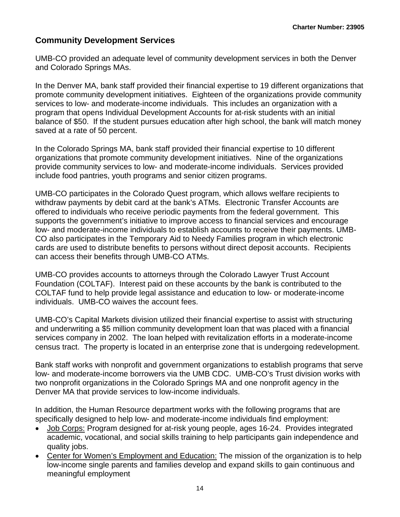## **Community Development Services**

UMB-CO provided an adequate level of community development services in both the Denver and Colorado Springs MAs.

In the Denver MA, bank staff provided their financial expertise to 19 different organizations that promote community development initiatives. Eighteen of the organizations provide community services to low- and moderate-income individuals. This includes an organization with a program that opens Individual Development Accounts for at-risk students with an initial balance of \$50. If the student pursues education after high school, the bank will match money saved at a rate of 50 percent.

In the Colorado Springs MA, bank staff provided their financial expertise to 10 different organizations that promote community development initiatives. Nine of the organizations provide community services to low- and moderate-income individuals. Services provided include food pantries, youth programs and senior citizen programs.

UMB-CO participates in the Colorado Quest program, which allows welfare recipients to withdraw payments by debit card at the bank's ATMs. Electronic Transfer Accounts are offered to individuals who receive periodic payments from the federal government. This supports the government's initiative to improve access to financial services and encourage low- and moderate-income individuals to establish accounts to receive their payments. UMB-CO also participates in the Temporary Aid to Needy Families program in which electronic cards are used to distribute benefits to persons without direct deposit accounts. Recipients can access their benefits through UMB-CO ATMs.

UMB-CO provides accounts to attorneys through the Colorado Lawyer Trust Account Foundation (COLTAF). Interest paid on these accounts by the bank is contributed to the COLTAF fund to help provide legal assistance and education to low- or moderate-income individuals. UMB-CO waives the account fees.

UMB-CO's Capital Markets division utilized their financial expertise to assist with structuring and underwriting a \$5 million community development loan that was placed with a financial services company in 2002. The loan helped with revitalization efforts in a moderate-income census tract. The property is located in an enterprise zone that is undergoing redevelopment.

Bank staff works with nonprofit and government organizations to establish programs that serve low- and moderate-income borrowers via the UMB CDC. UMB-CO's Trust division works with two nonprofit organizations in the Colorado Springs MA and one nonprofit agency in the Denver MA that provide services to low-income individuals.

In addition, the Human Resource department works with the following programs that are specifically designed to help low- and moderate-income individuals find employment:

- Job Corps: Program designed for at-risk young people, ages 16-24. Provides integrated academic, vocational, and social skills training to help participants gain independence and quality jobs.
- Center for Women's Employment and Education: The mission of the organization is to help low-income single parents and families develop and expand skills to gain continuous and meaningful employment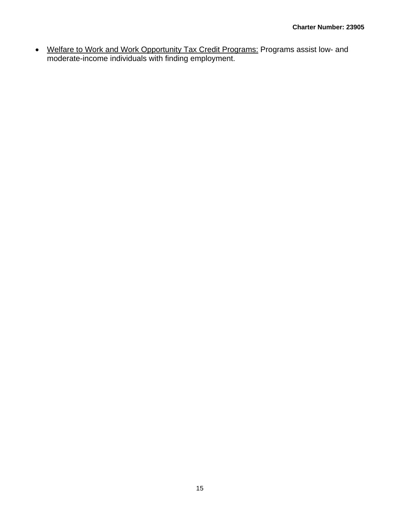• Welfare to Work and Work Opportunity Tax Credit Programs: Programs assist low- and moderate-income individuals with finding employment.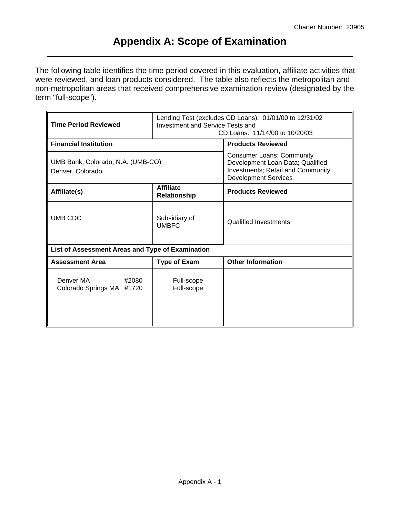## **Appendix A: Scope of Examination**

<span id="page-17-0"></span>The following table identifies the time period covered in this evaluation, affiliate activities that were reviewed, and loan products considered. The table also reflects the metropolitan and non-metropolitan areas that received comprehensive examination review (designated by the term "full-scope").

| <b>Time Period Reviewed</b>                           | Lending Test (excludes CD Loans): 01/01/00 to 12/31/02<br><b>Investment and Service Tests and</b><br>CD Loans: 11/14/00 to 10/20/03 |                                                                                                                                          |  |  |  |  |
|-------------------------------------------------------|-------------------------------------------------------------------------------------------------------------------------------------|------------------------------------------------------------------------------------------------------------------------------------------|--|--|--|--|
| <b>Financial Institution</b>                          |                                                                                                                                     | <b>Products Reviewed</b>                                                                                                                 |  |  |  |  |
| UMB Bank, Colorado, N.A. (UMB-CO)<br>Denver, Colorado |                                                                                                                                     | <b>Consumer Loans; Community</b><br>Development Loan Data; Qualified<br>Investments; Retail and Community<br><b>Development Services</b> |  |  |  |  |
| Affiliate(s)                                          | <b>Affiliate</b><br>Relationship                                                                                                    | <b>Products Reviewed</b>                                                                                                                 |  |  |  |  |
| UMB CDC                                               | Subsidiary of<br><b>UMBFC</b>                                                                                                       | <b>Qualified Investments</b>                                                                                                             |  |  |  |  |
| List of Assessment Areas and Type of Examination      |                                                                                                                                     |                                                                                                                                          |  |  |  |  |
| <b>Assessment Area</b>                                | <b>Type of Exam</b>                                                                                                                 | <b>Other Information</b>                                                                                                                 |  |  |  |  |
| Denver MA<br>#2080<br>Colorado Springs MA #1720       | Full-scope<br>Full-scope                                                                                                            |                                                                                                                                          |  |  |  |  |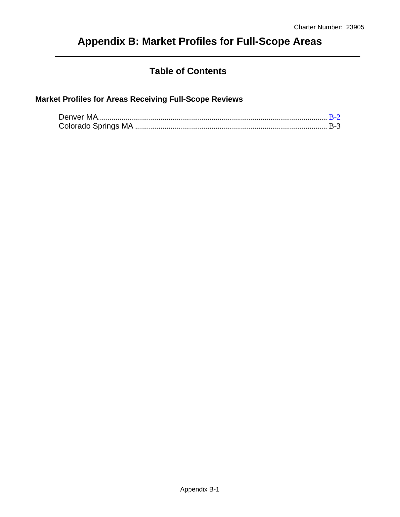# <span id="page-18-0"></span>**Appendix B: Market Profiles for Full-Scope Areas**

## **Table of Contents**

## **Market Profiles for Areas Receiving Full-Scope Reviews**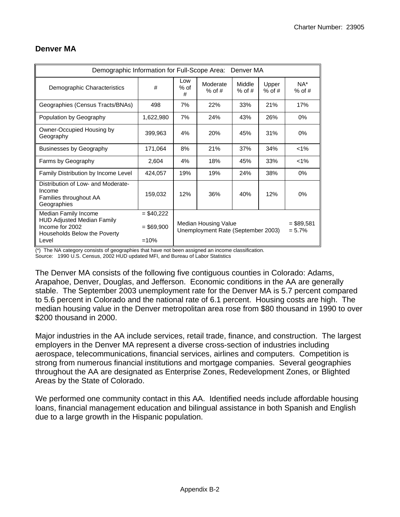| Demographic Information for Full-Scope Area: Denver MA                                                                |                                      |                                                            |                         |     |                   |                    |  |  |  |  |  |  |  |
|-----------------------------------------------------------------------------------------------------------------------|--------------------------------------|------------------------------------------------------------|-------------------------|-----|-------------------|--------------------|--|--|--|--|--|--|--|
| Demographic Characteristics                                                                                           | #                                    | Low<br>$%$ of<br>#                                         | Moderate<br>$%$ of #    |     | Upper<br>$%$ of # | $NA^*$<br>$%$ of # |  |  |  |  |  |  |  |
| Geographies (Census Tracts/BNAs)                                                                                      | 498                                  | 7%                                                         | 22%                     | 33% | 21%               | 17%                |  |  |  |  |  |  |  |
| Population by Geography                                                                                               | 1,622,980                            | 7%                                                         | 24%                     | 43% | 26%               | 0%                 |  |  |  |  |  |  |  |
| Owner-Occupied Housing by<br>Geography                                                                                | 399,963                              | 4%                                                         | 20%                     | 45% | 31%               | 0%                 |  |  |  |  |  |  |  |
| Businesses by Geography                                                                                               | 171,064                              | 8%                                                         | 21%                     | 37% | 34%               | $< 1\%$            |  |  |  |  |  |  |  |
| Farms by Geography                                                                                                    | 2,604                                | 4%                                                         | 18%                     | 45% | 33%               | $1\%$              |  |  |  |  |  |  |  |
| Family Distribution by Income Level                                                                                   | 424,057                              | 19%                                                        | 19%                     | 24% | 38%               | 0%                 |  |  |  |  |  |  |  |
| Distribution of Low- and Moderate-<br>Income<br>Families throughout AA<br>Geographies                                 | 159,032                              | 12%                                                        | 36%                     | 40% | 12%               | 0%                 |  |  |  |  |  |  |  |
| Median Family Income<br><b>HUD Adjusted Median Family</b><br>Income for 2002<br>Households Below the Poverty<br>Level | $= $40,222$<br>$= $69,900$<br>$=10%$ | Median Housing Value<br>Unemployment Rate (September 2003) | $= $89,581$<br>$= 5.7%$ |     |                   |                    |  |  |  |  |  |  |  |

#### **Denver MA**

(\*) The NA category consists of geographies that have not been assigned an income classification.

Source: 1990 U.S. Census, 2002 HUD updated MFI, and Bureau of Labor Statistics

The Denver MA consists of the following five contiguous counties in Colorado: Adams, Arapahoe, Denver, Douglas, and Jefferson. Economic conditions in the AA are generally stable. The September 2003 unemployment rate for the Denver MA is 5.7 percent compared to 5.6 percent in Colorado and the national rate of 6.1 percent. Housing costs are high. The median housing value in the Denver metropolitan area rose from \$80 thousand in 1990 to over \$200 thousand in 2000.

Major industries in the AA include services, retail trade, finance, and construction. The largest employers in the Denver MA represent a diverse cross-section of industries including aerospace, telecommunications, financial services, airlines and computers. Competition is strong from numerous financial institutions and mortgage companies. Several geographies throughout the AA are designated as Enterprise Zones, Redevelopment Zones, or Blighted Areas by the State of Colorado.

We performed one community contact in this AA. Identified needs include affordable housing loans, financial management education and bilingual assistance in both Spanish and English due to a large growth in the Hispanic population.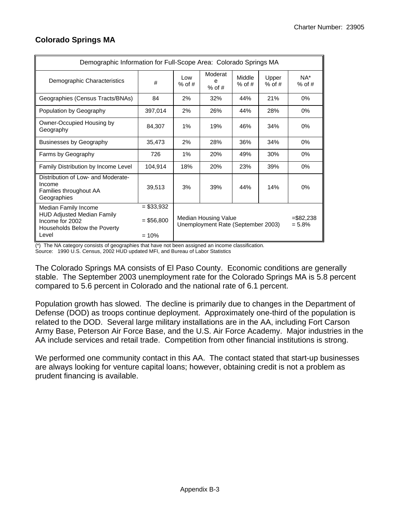| Demographic Information for Full-Scope Area: Colorado Springs MA                                                      |                                       |                 |                                                            |                    |                   |                         |  |  |  |  |  |  |  |
|-----------------------------------------------------------------------------------------------------------------------|---------------------------------------|-----------------|------------------------------------------------------------|--------------------|-------------------|-------------------------|--|--|--|--|--|--|--|
| Demographic Characteristics                                                                                           | #                                     | Low<br>$%$ of # | Moderat<br>e<br>$%$ of #                                   | Middle<br>$%$ of # | Upper<br>$%$ of # | $NA^*$<br>$%$ of #      |  |  |  |  |  |  |  |
| Geographies (Census Tracts/BNAs)                                                                                      | 84                                    | 2%              | 32%                                                        | 44%                | 21%               | 0%                      |  |  |  |  |  |  |  |
| Population by Geography                                                                                               | 397,014                               | 2%              | 26%                                                        | 44%                | 28%               | 0%                      |  |  |  |  |  |  |  |
| Owner-Occupied Housing by<br>Geography                                                                                | 84.307                                | 1%              | 19%                                                        | 46%                | 34%               | 0%                      |  |  |  |  |  |  |  |
| Businesses by Geography                                                                                               | 35,473                                | 2%              | 28%                                                        | 36%                |                   | 0%                      |  |  |  |  |  |  |  |
| Farms by Geography                                                                                                    | 726                                   | 1%              | 20%                                                        | 49%                | 30%               | 0%                      |  |  |  |  |  |  |  |
| Family Distribution by Income Level                                                                                   | 104,914                               | 18%             | 20%                                                        | 23%                | 39%               | 0%                      |  |  |  |  |  |  |  |
| Distribution of Low- and Moderate-<br>Income<br>Families throughout AA<br>Geographies                                 | 39,513                                | 3%              | 39%                                                        | 44%                | 14%               | 0%                      |  |  |  |  |  |  |  |
| Median Family Income<br><b>HUD Adjusted Median Family</b><br>Income for 2002<br>Households Below the Poverty<br>Level | $= $33,932$<br>$= $56,800$<br>$= 10%$ |                 | Median Housing Value<br>Unemployment Rate (September 2003) |                    |                   | $= $82.238$<br>$= 5.8%$ |  |  |  |  |  |  |  |

### <span id="page-20-0"></span>**Colorado Springs MA**

(\*) The NA category consists of geographies that have not been assigned an income classification.

Source: 1990 U.S. Census, 2002 HUD updated MFI, and Bureau of Labor Statistics

The Colorado Springs MA consists of El Paso County. Economic conditions are generally stable. The September 2003 unemployment rate for the Colorado Springs MA is 5.8 percent compared to 5.6 percent in Colorado and the national rate of 6.1 percent.

Population growth has slowed. The decline is primarily due to changes in the Department of Defense (DOD) as troops continue deployment. Approximately one-third of the population is related to the DOD. Several large military installations are in the AA, including Fort Carson Army Base, Peterson Air Force Base, and the U.S. Air Force Academy. Major industries in the AA include services and retail trade. Competition from other financial institutions is strong.

We performed one community contact in this AA. The contact stated that start-up businesses are always looking for venture capital loans; however, obtaining credit is not a problem as prudent financing is available.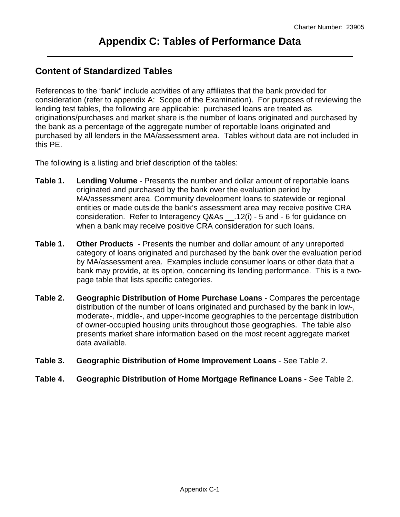## <span id="page-21-0"></span>**Content of Standardized Tables**

References to the "bank" include activities of any affiliates that the bank provided for consideration (refer to appendix A: Scope of the Examination). For purposes of reviewing the lending test tables, the following are applicable: purchased loans are treated as originations/purchases and market share is the number of loans originated and purchased by the bank as a percentage of the aggregate number of reportable loans originated and purchased by all lenders in the MA/assessment area. Tables without data are not included in this PE.

The following is a listing and brief description of the tables:

- **Table 1. Lending Volume** Presents the number and dollar amount of reportable loans originated and purchased by the bank over the evaluation period by MA/assessment area. Community development loans to statewide or regional entities or made outside the bank's assessment area may receive positive CRA consideration. Refer to Interagency Q&As \_\_.12(i) - 5 and - 6 for guidance on when a bank may receive positive CRA consideration for such loans.
- **Table 1. Other Products**  Presents the number and dollar amount of any unreported category of loans originated and purchased by the bank over the evaluation period by MA/assessment area. Examples include consumer loans or other data that a bank may provide, at its option, concerning its lending performance. This is a twopage table that lists specific categories.
- **Table 2. Geographic Distribution of Home Purchase Loans** Compares the percentage distribution of the number of loans originated and purchased by the bank in low-, moderate-, middle-, and upper-income geographies to the percentage distribution of owner-occupied housing units throughout those geographies. The table also presents market share information based on the most recent aggregate market data available.
- **Table 3. Geographic Distribution of Home Improvement Loans** See Table 2.
- **Table 4. Geographic Distribution of Home Mortgage Refinance Loans** See Table 2.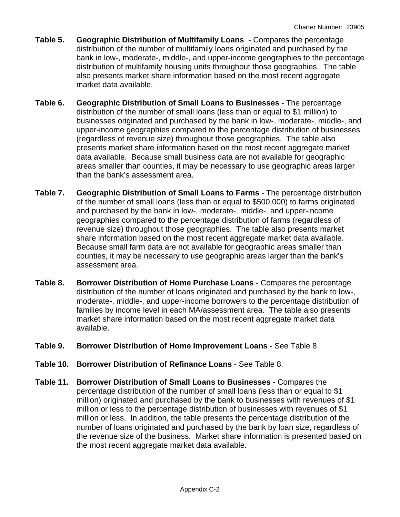- **Table 5. Geographic Distribution of Multifamily Loans** Compares the percentage distribution of the number of multifamily loans originated and purchased by the bank in low-, moderate-, middle-, and upper-income geographies to the percentage distribution of multifamily housing units throughout those geographies. The table also presents market share information based on the most recent aggregate market data available.
- **Table 6. Geographic Distribution of Small Loans to Businesses** The percentage distribution of the number of small loans (less than or equal to \$1 million) to businesses originated and purchased by the bank in low-, moderate-, middle-, and upper-income geographies compared to the percentage distribution of businesses (regardless of revenue size) throughout those geographies. The table also presents market share information based on the most recent aggregate market data available. Because small business data are not available for geographic areas smaller than counties, it may be necessary to use geographic areas larger than the bank's assessment area.
- **Table 7. Geographic Distribution of Small Loans to Farms** The percentage distribution of the number of small loans (less than or equal to \$500,000) to farms originated and purchased by the bank in low-, moderate-, middle-, and upper-income geographies compared to the percentage distribution of farms (regardless of revenue size) throughout those geographies. The table also presents market share information based on the most recent aggregate market data available. Because small farm data are not available for geographic areas smaller than counties, it may be necessary to use geographic areas larger than the bank's assessment area.
- **Table 8. Borrower Distribution of Home Purchase Loans** Compares the percentage distribution of the number of loans originated and purchased by the bank to low-, moderate-, middle-, and upper-income borrowers to the percentage distribution of families by income level in each MA/assessment area. The table also presents market share information based on the most recent aggregate market data available.
- **Table 9. Borrower Distribution of Home Improvement Loans** See Table 8.
- **Table 10. Borrower Distribution of Refinance Loans** See Table 8.
- **Table 11. Borrower Distribution of Small Loans to Businesses** Compares the percentage distribution of the number of small loans (less than or equal to \$1 million) originated and purchased by the bank to businesses with revenues of \$1 million or less to the percentage distribution of businesses with revenues of \$1 million or less. In addition, the table presents the percentage distribution of the number of loans originated and purchased by the bank by loan size, regardless of the revenue size of the business. Market share information is presented based on the most recent aggregate market data available.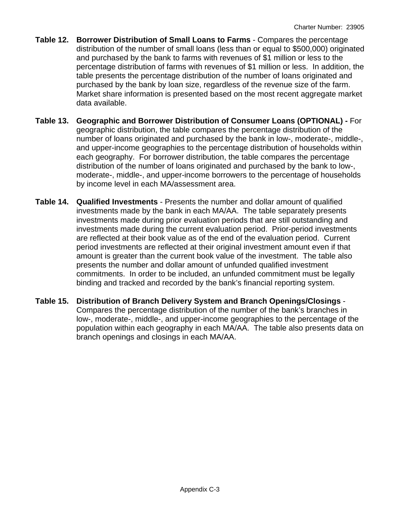- **Table 12. Borrower Distribution of Small Loans to Farms** Compares the percentage distribution of the number of small loans (less than or equal to \$500,000) originated and purchased by the bank to farms with revenues of \$1 million or less to the percentage distribution of farms with revenues of \$1 million or less. In addition, the table presents the percentage distribution of the number of loans originated and purchased by the bank by loan size, regardless of the revenue size of the farm. Market share information is presented based on the most recent aggregate market data available.
- **Table 13. Geographic and Borrower Distribution of Consumer Loans (OPTIONAL)** For geographic distribution, the table compares the percentage distribution of the number of loans originated and purchased by the bank in low-, moderate-, middle-, and upper-income geographies to the percentage distribution of households within each geography. For borrower distribution, the table compares the percentage distribution of the number of loans originated and purchased by the bank to low-, moderate-, middle-, and upper-income borrowers to the percentage of households by income level in each MA/assessment area.
- **Table 14. Qualified Investments** Presents the number and dollar amount of qualified investments made by the bank in each MA/AA. The table separately presents investments made during prior evaluation periods that are still outstanding and investments made during the current evaluation period. Prior-period investments are reflected at their book value as of the end of the evaluation period. Current period investments are reflected at their original investment amount even if that amount is greater than the current book value of the investment. The table also presents the number and dollar amount of unfunded qualified investment commitments. In order to be included, an unfunded commitment must be legally binding and tracked and recorded by the bank's financial reporting system.
- **Table 15. Distribution of Branch Delivery System and Branch Openings/Closings** Compares the percentage distribution of the number of the bank's branches in low-, moderate-, middle-, and upper-income geographies to the percentage of the population within each geography in each MA/AA. The table also presents data on branch openings and closings in each MA/AA.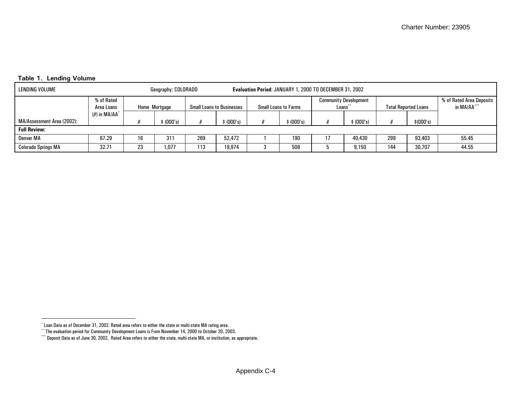|  | Table 1. Lending Volume |  |
|--|-------------------------|--|
|  |                         |  |

| LENDING VOLUME             |                                           |    | Geography: COLORADO | Evaluation Period: JANUARY 1, 2000 TO DECEMBER 31, 2002 |                                  |  |                             |  |                                         |     |                             |                                         |
|----------------------------|-------------------------------------------|----|---------------------|---------------------------------------------------------|----------------------------------|--|-----------------------------|--|-----------------------------------------|-----|-----------------------------|-----------------------------------------|
|                            | % of Rated<br>Home Mortgage<br>Area Loans |    |                     |                                                         | <b>Small Loans to Businesses</b> |  | <b>Small Loans to Farms</b> |  | <b>Community Development</b><br>Loans** |     | <b>Total Reported Loans</b> | % of Rated Area Deposits<br>in MA/AA*** |
| MA/Assessment Area (2002): | $(\#)$ in MA/AA $^*$                      |    | (000's)             |                                                         | (000's)                          |  | (000's)                     |  | (000's)                                 |     | \$ (000's)                  |                                         |
| <b>Full Review:</b>        |                                           |    |                     |                                                         |                                  |  |                             |  |                                         |     |                             |                                         |
| Denver MA                  | 67.29                                     | 16 | 311                 | 269                                                     | 52.472                           |  | 190                         |  | 40.430                                  | 299 | 93,403                      | 55.45                                   |
| <b>Colorado Springs MA</b> | 32.71                                     | 23 | ,077                | 113                                                     | 19,974                           |  | 506                         |  | 9.150                                   | 144 | 30,707                      | 44.55                                   |

<span id="page-24-1"></span><span id="page-24-0"></span><sup>\*</sup> Loan Data as of December 31, 2002. Rated area refers to either the state or multi-state MA rating area.

<sup>\*\*</sup> The evaluation period for Community Development Loans is From November 14, 2000 to October 20, 2003.

<sup>\*\*\*</sup> Deposit Data as of June 30, 2002. Rated Area refers to either the state, multi-state MA, or institution, as appropriate.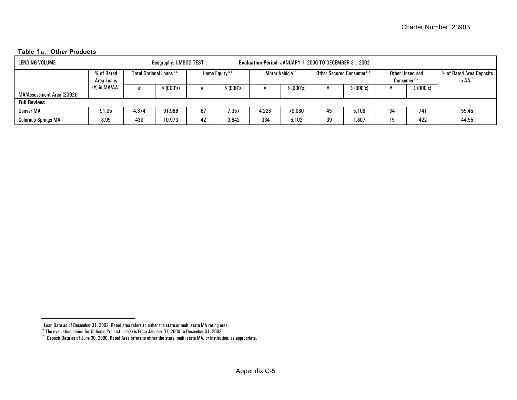#### **Table 1a. Other Products**

| LENDING VOLUME             | Geography: UMBCO TEST      |                               |            |               | <b>Evaluation Period: JANUARY 1, 2000 TO DECEMBER 31, 2002</b> |                       |         |                          |           |                               |            |                                      |  |
|----------------------------|----------------------------|-------------------------------|------------|---------------|----------------------------------------------------------------|-----------------------|---------|--------------------------|-----------|-------------------------------|------------|--------------------------------------|--|
|                            | % of Rated<br>Area Loans   | <b>Total Optional Loans**</b> |            | Home Equity** |                                                                | <b>Motor Vehicle*</b> |         | Other Secured Consumer** |           | Other Unsecured<br>Consumer** |            | % of Rated Area Deposits<br>in AA*** |  |
|                            | $(\#)$ in MA/AA $^{\circ}$ |                               | \$ (000's) | \$ (000's)    |                                                                |                       | (000's) |                          | \$(000's) |                               | \$ (000's) |                                      |  |
| MA/Assessment Area (2002): |                            |                               |            |               |                                                                |                       |         |                          |           |                               |            |                                      |  |
| <b>Full Review:</b>        |                            |                               |            |               |                                                                |                       |         |                          |           |                               |            |                                      |  |
| Denver MA                  | 91.05                      | 4.374                         | 91.986     | 67            | 7.057                                                          | 4,228                 | 79.080  | 45                       | 5,108     | 34                            | 741        | 55.45                                |  |
| <b>Colorado Springs MA</b> | 8.95                       | 430                           | 10,973     | 42            | 3,642                                                          | 334                   | 5,102   | 39                       | 1,807     | 15                            | 422        | 44.55                                |  |

<span id="page-25-1"></span><span id="page-25-0"></span><sup>\*</sup> Loan Data as of December 31, 2002. Rated area refers to either the state or multi-state MA rating area.

<sup>\*\*</sup> The evaluation period for Optional Product Line(s) is From January 01, 2000 to December 31, 2002.

<sup>\*\*\*</sup> Deposit Data as of June 30, 2000. Rated Area refers to either the state, multi-state MA, or institution, as appropriate.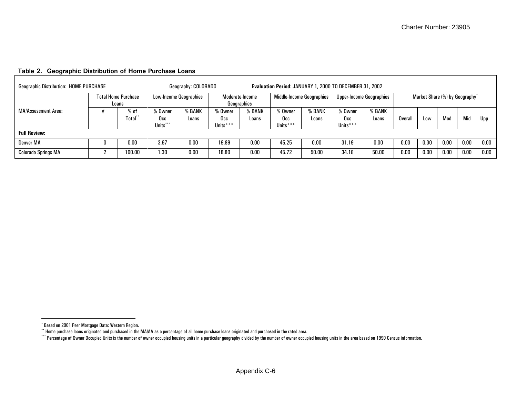<span id="page-26-0"></span>

|                            | <b>Geographic Distribution: HOME PURCHASE</b> |                                     |                                                 |                 | Evaluation Period: JANUARY 1, 2000 TO DECEMBER 31, 2002<br>Geography: COLORADO |                 |                                  |                 |                                 |                 |                                |            |      |      |          |
|----------------------------|-----------------------------------------------|-------------------------------------|-------------------------------------------------|-----------------|--------------------------------------------------------------------------------|-----------------|----------------------------------|-----------------|---------------------------------|-----------------|--------------------------------|------------|------|------|----------|
|                            |                                               | <b>Total Home Purchase</b><br>Loans | <b>Low-Income Geographies</b>                   |                 | Moderate-Income<br>Geographies                                                 |                 | <b>Middle-Income Geographies</b> |                 | <b>Upper-Income Geographies</b> |                 | Market Share (%) by Geography* |            |      |      |          |
| <b>MA/Assessment Area:</b> |                                               | $%$ of<br>Total                     | % Owner<br>Occ<br>$+ + +$<br>Units <sup>'</sup> | 6 BANK<br>Loans | 6 Owner<br>Occ<br>Units***                                                     | % BANK<br>Loans | % Owner<br>Occ<br>Units***       | % BANK<br>Loans | % Owner<br>Occ<br>Units***      | % BANK<br>Loans | Overal                         | <b>LOW</b> | Mod  | Mid  | Upp      |
| <b>Full Review:</b>        |                                               |                                     |                                                 |                 |                                                                                |                 |                                  |                 |                                 |                 |                                |            |      |      |          |
| Denver MA                  |                                               | 0.00                                | 3.67                                            | 0.00            |                                                                                | 0.00            | 45.25                            | 0.00            | 31.19                           | 0.00            | 0.00                           | 0.00       | 0.00 | 0.00 | $0.00\,$ |
| <b>Colorado Springs MA</b> | <sup>o</sup>                                  | 100.00                              | 1.30                                            | 0.00            | 18.80                                                                          | 0.00            | 45.72                            | 50.00           | 34.18                           | 50.00           | 0.00                           | 0.00       | 0.00 | 0.00 | 0.00     |

# **Table 2. Geographic Distribution of Home Purchase Loans**

<sup>\*</sup> Based on 2001 Peer Mortgage Data: Western Region.

<span id="page-26-1"></span> $\cdot^*$  Home purchase loans originated and purchased in the MA/AA as a percentage of all home purchase loans originated and purchased in the rated area.

<span id="page-26-2"></span><sup>\*\*\*\*</sup> Percentage of Owner Occupied Units is the number of owner occupied housing units in a particular geography divided by the number of owner occupied housing units in the area based on 1990 Census information.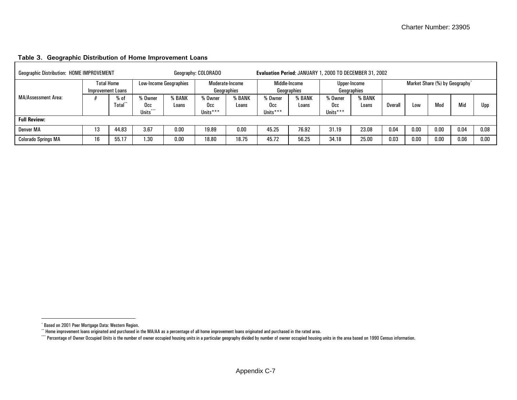#### **Table 3. Geographic Distribution of Home Improvement Loans**  Г

<span id="page-27-0"></span>

|                            | Geographic Distribution: HOME IMPROVEMENT |                  |                               |                 | Geography: COLORADO            |                 | Evaluation Period: JANUARY 1, 2000 TO DECEMBER 31, 2002 |                 |                             |                 |                                            |      |      |      |      |
|----------------------------|-------------------------------------------|------------------|-------------------------------|-----------------|--------------------------------|-----------------|---------------------------------------------------------|-----------------|-----------------------------|-----------------|--------------------------------------------|------|------|------|------|
|                            | <b>Total Home</b><br>Improvement Loans    |                  | <b>Low-Income Geographies</b> |                 | Moderate-Income<br>Geographies |                 | Middle-Income<br>Geographies                            |                 | Upper-Income<br>Geographies |                 | Market Share (%) by Geography <sup>*</sup> |      |      |      |      |
| <b>MA/Assessment Area:</b> |                                           | $%$ of<br>Total* | , Owner<br>Occ<br>Units***    | 6 BANK<br>Loans | % Owner<br>Occ<br>Units***     | % BANK<br>Loans | % Owner<br>Occ<br>Units***                              | % BANK<br>Loans | Owner<br>Occ<br>Units***    | % BANK<br>Loans | Overall                                    | Low  | Moa  | Mid  | Upp  |
| <b>Full Review:</b>        |                                           |                  |                               |                 |                                |                 |                                                         |                 |                             |                 |                                            |      |      |      |      |
| Denver MA                  | 13                                        | 44.83            | 3.67                          | 0.00            | 19.89                          | 0.00            | 45.25                                                   | 76.92           | 31.19                       | 23.08           | 0.04                                       | 0.00 | 0.00 | 0.04 | 0.08 |
| <b>Colorado Springs MA</b> | 16                                        | 55.17            | 1.30                          | 0.00            | 18.80                          | 18.75           | 45.72                                                   | 56.25           | 34.18                       | 25.00           | 0.03                                       | 0.00 | 0.00 | 0.06 | 0.00 |

<span id="page-27-1"></span><sup>\*</sup> Based on 2001 Peer Mortgage Data: Western Region.

<sup>\*\*</sup> Home improvement loans originated and purchased in the MA/AA as a percentage of all home improvement loans originated and purchased in the rated area.

<span id="page-27-2"></span><sup>\*\*\*\*</sup> Percentage of Owner Occupied Units is the number of owner occupied housing units in a particular geography divided by number of owner occupied housing units in the area based on 1990 Census information.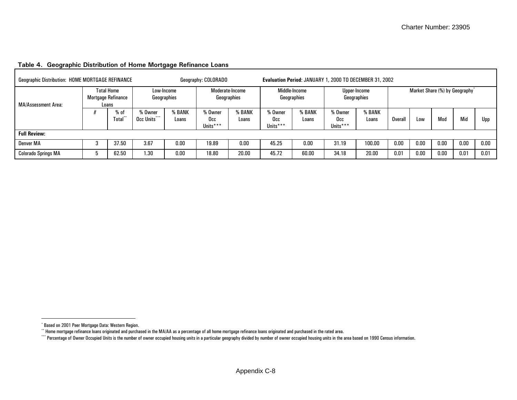<span id="page-28-0"></span>

|                            | <b>Geographic Distribution: HOME MORTGAGE REFINANCE</b><br>Geography: COLORADO |                |                         |                                |                            |                              | Evaluation Period: JANUARY 1, 2000 TO DECEMBER 31, 2002 |                             |                            |                                            |         |      |      |      |      |
|----------------------------|--------------------------------------------------------------------------------|----------------|-------------------------|--------------------------------|----------------------------|------------------------------|---------------------------------------------------------|-----------------------------|----------------------------|--------------------------------------------|---------|------|------|------|------|
| <b>MA/Assessment Area:</b> | <b>Total Home</b><br>Low-Income<br>Mortgage Refinance<br>Geographies<br>Loans  |                |                         | Moderate-Income<br>Geographies |                            | Middle-Income<br>Geographies |                                                         | Upper-Income<br>Geographies |                            | Market Share (%) by Geography <sup>*</sup> |         |      |      |      |      |
|                            |                                                                                | $%$ of<br>Tota | % Owner<br>Occ Units*** | % BANK<br>Loans                | % Owner<br>Occ<br>Units*** | % BANK<br>Loans              | % Owner<br>Occ<br>Units***                              | % BANK<br>Loans             | % Owner<br>Occ<br>Units*** | % BANK<br>Loans                            | Overall | Low  | Mod  | Mid  | Upp  |
| <b>Full Review:</b>        |                                                                                |                |                         |                                |                            |                              |                                                         |                             |                            |                                            |         |      |      |      |      |
| Denver MA                  |                                                                                | 37.50          | 3.67                    | 0.00                           | 19.89                      | 0.00                         | 45.25                                                   | 0.00                        | 31.19                      | 100.00                                     | 0.00    | 0.00 | 0.00 | 0.00 | 0.00 |
| <b>Colorado Springs MA</b> |                                                                                | 62.50          | 1.30                    | 0.00                           | 18.80                      | 20.00                        | 45.72                                                   | 60.00                       | 34.18                      | 20.00                                      | 0.01    | 0.00 | 0.00 | 0.01 | 0.01 |

#### **Table 4. Geographic Distribution of Home Mortgage Refinance Loans**

<sup>\*</sup> Based on 2001 Peer Mortgage Data: Western Region.

<span id="page-28-2"></span><span id="page-28-1"></span> $^{\circ}$  Home mortgage refinance loans originated and purchased in the MA/AA as a percentage of all home mortgage refinance loans originated and purchased in the rated area.

<sup>\*\*\*\*</sup> Percentage of Owner Occupied Units is the number of owner occupied housing units in a particular geography divided by number of owner occupied housing units in the area based on 1990 Census information.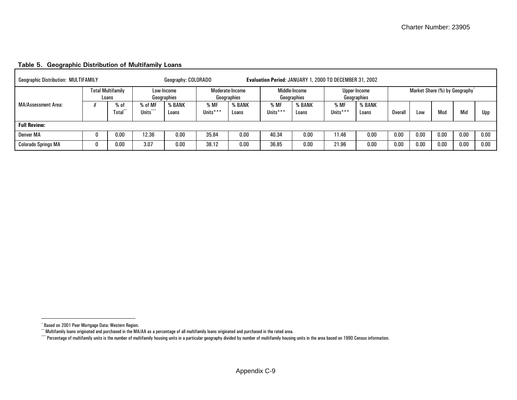<span id="page-29-0"></span>

| <b>Geographic Distribution: MULTIFAMILY</b> |                                   |                     | Geography: COLORADO       |                  |                                |                  | Evaluation Period: JANUARY 1, 2000 TO DECEMBER 31, 2002 |                  |                             |         |                                            |      |      |      |
|---------------------------------------------|-----------------------------------|---------------------|---------------------------|------------------|--------------------------------|------------------|---------------------------------------------------------|------------------|-----------------------------|---------|--------------------------------------------|------|------|------|
|                                             | <b>Total Multifamily</b><br>Loans |                     | Low-Income<br>Geographies |                  | Moderate-Income<br>Geographies |                  | Middle-Income<br>Geographies                            |                  | Upper-Income<br>Geographies |         | Market Share (%) by Geography <sup>*</sup> |      |      |      |
| <b>MA/Assessment Area:</b>                  | % of<br>Total**                   | % of MF<br>Units*** | % BANK<br>Loans           | % MF<br>Units*** | % BANK<br>Loans                | % MF<br>Units*** | % BANK<br>Loans                                         | % MF<br>Units*** | % BANK<br>Loans             | Overall | Low                                        | Mod  | Mio  | Upp  |
| <b>Full Review:</b>                         |                                   |                     |                           |                  |                                |                  |                                                         |                  |                             |         |                                            |      |      |      |
| Denver MA                                   | 0.00                              | 12.36               | 0.00                      | 35.84            | 0.00                           | 40.34            | 0.00                                                    | 11.46            | 0.00                        | 0.00    | 0.00                                       | 0.00 | 0.00 | 0.00 |
| <b>Colorado Springs MA</b>                  | 0.00                              | 3.07                | 0.00                      | 38.12            | 0.00                           | 36.85            | 0.00                                                    | 21.96            | 0.00                        | 0.00    | 0.00                                       | 0.00 | 0.00 | 0.00 |

#### **Table 5. Geographic Distribution of Multifamily Loans**

<span id="page-29-1"></span><sup>\*</sup> Based on 2001 Peer Mortgage Data: Western Region.

<sup>\*\*</sup> Multifamily loans originated and purchased in the MA/AA as a percentage of all multifamily loans originated and purchased in the rated area.

<span id="page-29-2"></span><sup>\*\*\*\*</sup> Percentage of multifamily units is the number of multifamily housing units in a particular geography divided by number of multifamily housing units in the area based on 1990 Census information.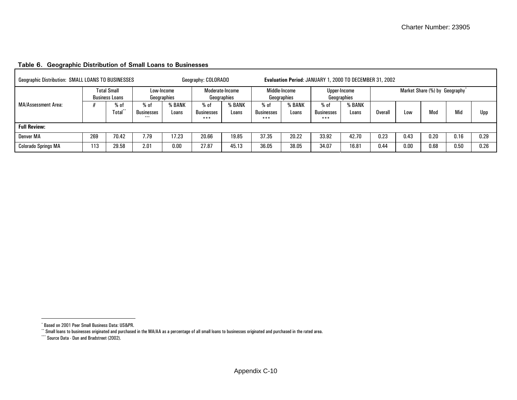<span id="page-30-2"></span><span id="page-30-0"></span>

| <b>Geographic Distribution: SMALL LOANS TO BUSINESSES</b> |     |                                             |                                      |                           | Geography: COLORADO            |                 |                             |                 | Evaluation Period: JANUARY 1, 2000 TO DECEMBER 31, 2002 |                             |         |      |                                            |      |      |
|-----------------------------------------------------------|-----|---------------------------------------------|--------------------------------------|---------------------------|--------------------------------|-----------------|-----------------------------|-----------------|---------------------------------------------------------|-----------------------------|---------|------|--------------------------------------------|------|------|
|                                                           |     | <b>Total Small</b><br><b>Business Loans</b> |                                      | Low-Income<br>Geographies | Moderate-Income<br>Geographies |                 | Middle-Income               | Geographies     |                                                         | Upper-Income<br>Geographies |         |      | Market Share (%) by Geography <sup>*</sup> |      |      |
| MA/Assessment Area:                                       |     | % of<br>fotal*                              | % of<br><b>Businesses</b><br>$* * *$ | % BANK<br>Loans           | $%$ of<br>Businesses<br>$***$  | % BANK<br>Loans | $%$ of<br>Businesses<br>*** | 6 BANK<br>Loans | % of<br><b>Businesses</b><br>***                        | % BANK<br>Loans             | Overall | Low  | Mod                                        | Mid  | Upp  |
| <b>Full Review:</b>                                       |     |                                             |                                      |                           |                                |                 |                             |                 |                                                         |                             |         |      |                                            |      |      |
| Denver MA                                                 | 269 | 70.42                                       | 7.79                                 | 17.23                     | 20.66                          | 19.85           | 37.35                       | 20.22           | 33.92                                                   | 42.70                       | 0.23    | 0.43 | 0.20                                       | 0.16 | 0.29 |
| <b>Colorado Springs MA</b>                                | 113 | 29.58                                       | 2.01                                 | 0.00                      | 27.87                          | 45.13           | 36.05                       | 38.05           | 34.07                                                   | 16.81                       | 0.44    | 0.00 | 0.68                                       | 0.50 | 0.26 |

#### **Table 6. Geographic Distribution of Small Loans to Businesses**

<span id="page-30-1"></span><sup>\*</sup> Based on 2001 Peer Small Business Data: US&PR.

<sup>\*\*</sup> Small loans to businesses originated and purchased in the MA/AA as a percentage of all small loans to businesses originated and purchased in the rated area.

<sup>\*\*\*</sup> Source Data - Dun and Bradstreet (2002).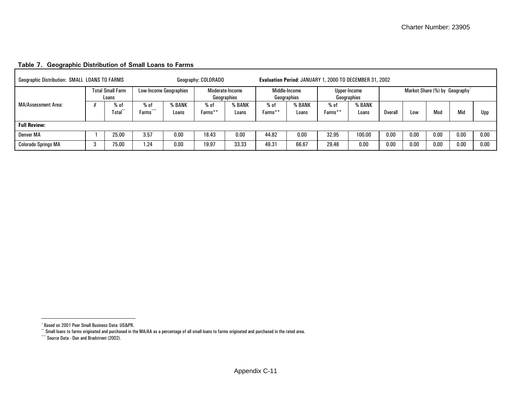<span id="page-31-2"></span><span id="page-31-0"></span>

| <b>Geographic Distribution: SMALL LOANS TO FARMS</b> |               |                                  |                               |                        | Geography: COLORADO |                 |                 | Evaluation Period: JANUARY 1, 2000 TO DECEMBER 31, 2002 |                 |                             |         |      |                                            |      |      |
|------------------------------------------------------|---------------|----------------------------------|-------------------------------|------------------------|---------------------|-----------------|-----------------|---------------------------------------------------------|-----------------|-----------------------------|---------|------|--------------------------------------------|------|------|
|                                                      |               | <b>Total Small Farm</b><br>Loans | <b>Low-Income Geographies</b> |                        | Geographies         | Moderate-Income |                 | Middle-Income<br>Geographies                            |                 | Upper-Income<br>Geographies |         |      | Market Share (%) by Geography <sup>*</sup> |      |      |
| <b>MA/Assessment Area:</b>                           |               | % of<br>Total                    | % of<br>$+ + +$<br>Farms      | <b>6 BANK</b><br>Loans | % of<br>Farms**     | % BANK<br>Loans | % of<br>Farms** | % BANK<br>Loans                                         | % of<br>Farms** | <b>BANK</b><br>Loans        | Overall | Low  | Mod                                        | Mid  | Upp  |
| <b>Full Review:</b>                                  |               |                                  |                               |                        |                     |                 |                 |                                                         |                 |                             |         |      |                                            |      |      |
| Denver MA                                            | 3.57<br>25.00 |                                  |                               | 0.00                   | 18.43               | 0.00            | 44.82           | 0.00                                                    | 32.95           | 100.00                      | 0.00    | 0.00 | 0.00                                       | 0.00 | 0.00 |
| <b>Colorado Springs MA</b>                           |               | 75.00                            | 1.24                          | 0.00                   | 19.97               | 33.33           | 49.31           | 66.67                                                   | 29.48           | 0.00                        | 0.00    | 0.00 | 0.00                                       | 0.00 | 0.00 |

#### **Table 7. Geographic Distribution of Small Loans to Farms**

<span id="page-31-1"></span><sup>\*</sup> Based on 2001 Peer Small Business Data: US&PR.

<sup>\*\*</sup> Small loans to farms originated and purchased in the MA/AA as a percentage of all small loans to farms originated and purchased in the rated area.

<sup>\*\*\*</sup> Source Data - Dun and Bradstreet (2002).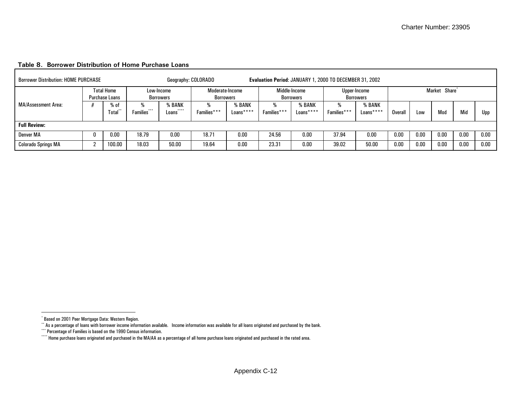| <b>Borrower Distribution: HOME PURCHASE</b> |   |                                            |                          | Geography: COLORADO          |                              |                     | Evaluation Period: JANUARY 1, 2000 TO DECEMBER 31, 2002 |                            |             |                           |         |      |                           |      |      |
|---------------------------------------------|---|--------------------------------------------|--------------------------|------------------------------|------------------------------|---------------------|---------------------------------------------------------|----------------------------|-------------|---------------------------|---------|------|---------------------------|------|------|
|                                             |   | <b>Total Home</b><br><b>Purchase Loans</b> |                          | Low-Income<br>Borrowers      | Moderate-Income<br>Borrowers |                     |                                                         | Middle-Income<br>Borrowers |             | Upper-Income<br>Borrowers |         |      | Market Share <sup>*</sup> |      |      |
| <b>MA/Assessment Area:</b>                  |   | % of<br>Total**                            | ***<br><b>Families</b> * | % BANK<br>$* * * *$<br>Loans | Families***                  | % BANK<br>Loans**** | ₩<br>Families***                                        | 6 BANK<br>Loans****        | Families*** | % BANK<br>Loans****       | Overall | Low  | Mod                       | Mid  | Upp  |
| <b>Full Review:</b>                         |   |                                            |                          |                              |                              |                     |                                                         |                            |             |                           |         |      |                           |      |      |
| Denver MA                                   | 0 | 18.79<br>0.00<br>0.00                      |                          |                              | 18.71                        | 0.00                | 24.56                                                   | 0.00                       | 37.94       | 0.00                      | 0.00    | 0.00 | 0.00                      | 0.00 | 0.00 |
| <b>Colorado Springs MA</b>                  | c | 100.00                                     | 18.03                    | 50.00                        | 19.64                        | 0.00                | 23.31                                                   | 0.00                       | 39.02       | 50.00                     | 0.00    | 0.00 | 0.00                      | 0.00 | 0.00 |

#### <span id="page-32-0"></span>**Table 8. Borrower Distribution of Home Purchase Loans**

<span id="page-32-2"></span><sup>\*</sup> Based on 2001 Peer Mortgage Data: Western Region.

<span id="page-32-3"></span><span id="page-32-1"></span><sup>\*\*</sup> As a percentage of loans with borrower income information available. Income information was available for all loans originated and purchased by the bank.

<sup>\*\*\*</sup> Percentage of Families is based on the 1990 Census information.

<sup>\*\*\*\*</sup> Home purchase loans originated and purchased in the MA/AA as a percentage of all home purchase loans originated and purchased in the rated area.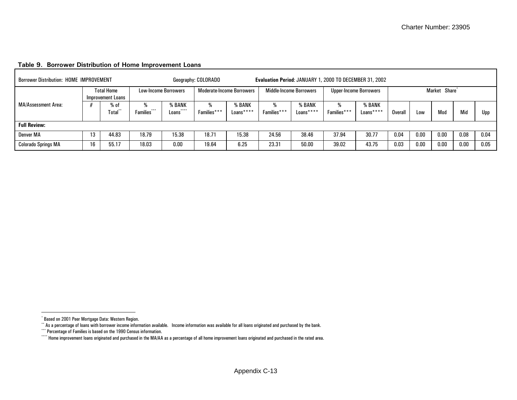<span id="page-33-0"></span>

| <b>Borrower Distribution: HOME IMPROVEMENT</b> |                               |                                        |             |                                      | Geography: COLORADO |                                  |                  |                         | Evaluation Period: JANUARY 1, 2000 TO DECEMBER 31, 2002 |                               |         |      |                           |      |      |
|------------------------------------------------|-------------------------------|----------------------------------------|-------------|--------------------------------------|---------------------|----------------------------------|------------------|-------------------------|---------------------------------------------------------|-------------------------------|---------|------|---------------------------|------|------|
|                                                |                               | <b>Total Home</b><br>Improvement Loans |             | Low-Income Borrowers                 |                     | <b>Moderate-Income Borrowers</b> |                  | Middle-Income Borrowers |                                                         | <b>Upper-Income Borrowers</b> |         |      | Market Share <sup>®</sup> |      |      |
| MA/Assessment Area:                            |                               | % of<br><b>Total</b>                   | Families*** | % BANK<br>****<br>Loans <sup>®</sup> | %<br>Families***    | % BANK<br>Loans****              | ₩<br>Families*** | % BANK<br>Loans****     | %<br>Families***                                        | % BANK<br>Loans****           | Overall | Low  | Mod                       | Mid  | Upp  |
| <b>Full Review:</b>                            |                               |                                        |             |                                      |                     |                                  |                  |                         |                                                         |                               |         |      |                           |      |      |
| Denver MA                                      | 13<br>15.38<br>18.79<br>44.83 |                                        |             |                                      | 18.71               | 15.38                            | 24.56            | 38.46                   | 37.94                                                   | 30.77                         | 0.04    | 0.00 | 0.00                      | 0.08 | 0.04 |
| <b>Colorado Springs MA</b>                     | 16                            | 55.17                                  | 18.03       | 0.00                                 | 19.64               | 6.25                             | 23.31            | 50.00                   | 39.02                                                   | 43.75                         | 0.03    | 0.00 | 0.00                      | 0.00 | 0.05 |

#### **Table 9. Borrower Distribution of Home Improvement Loans**

<span id="page-33-2"></span><sup>\*</sup> Based on 2001 Peer Mortgage Data: Western Region.

<span id="page-33-3"></span><span id="page-33-1"></span><sup>\*\*</sup> As a percentage of loans with borrower income information available. Income information was available for all loans originated and purchased by the bank.

<sup>\*\*\*</sup> Percentage of Families is based on the 1990 Census information.

<sup>\*\*\*\*</sup> Home improvement loans originated and purchased in the MA/AA as a percentage of all home improvement loans originated and purchased in the rated area.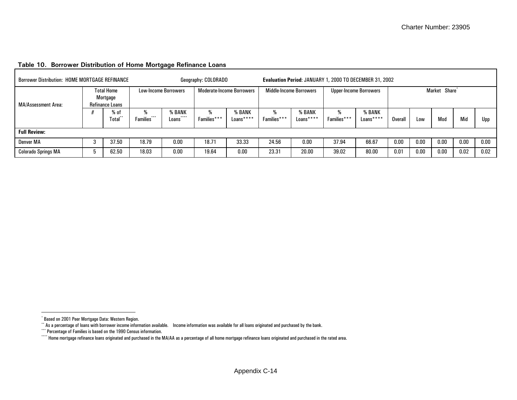<span id="page-34-0"></span>

| <b>Borrower Distribution: HOME MORTGAGE REFINANCE</b> |                                                         |                        |                             | Geography: COLORADO              |                     |                  |                                | Evaluation Period: JANUARY 1, 2000 TO DECEMBER 31, 2002 |                               |         |      |                           |      |      |
|-------------------------------------------------------|---------------------------------------------------------|------------------------|-----------------------------|----------------------------------|---------------------|------------------|--------------------------------|---------------------------------------------------------|-------------------------------|---------|------|---------------------------|------|------|
| MA/Assessment Area:                                   | <b>Total Home</b><br>Mortgage<br><b>Refinance Loans</b> |                        | <b>Low-Income Borrowers</b> | <b>Moderate-Income Borrowers</b> |                     |                  | <b>Middle-Income Borrowers</b> |                                                         | <b>Upper-Income Borrowers</b> |         |      | Market Share <sup>*</sup> |      |      |
|                                                       | % of<br>Total <sup>'</sup>                              | ***<br><b>Families</b> | % BANK<br>Loans             | %<br>Families***                 | % BANK<br>Loans**** | %<br>Families*** | % BANK<br>Loans****            | ₩<br>Families***                                        | % BANK<br>Loans****           | Overall | Low  | Mod                       | Mid  | Upp  |
| <b>Full Review:</b>                                   |                                                         |                        |                             |                                  |                     |                  |                                |                                                         |                               |         |      |                           |      |      |
| Denver MA                                             | 37.50                                                   | 18.79                  | 0.00                        | 18.71                            | 33.33               | 24.56            | 0.00                           | 37.94                                                   | 66.67                         | 0.00    | 0.00 | 0.00                      | 0.00 | 0.00 |
| <b>Colorado Springs MA</b>                            | 62.50                                                   | 18.03                  | 0.00                        | 19.64                            | 0.00                | 23.31            | 20.00                          | 39.02                                                   | 80.00                         | 0.01    | 0.00 | 0.00                      | 0.02 | 0.02 |

#### **Table 10. Borrower Distribution of Home Mortgage Refinance Loans**

<span id="page-34-2"></span><sup>\*</sup> Based on 2001 Peer Mortgage Data: Western Region.

<span id="page-34-1"></span> $^{\star}$  As a percentage of loans with borrower income information available. Income information was available for all loans originated and purchased by the bank.

<span id="page-34-3"></span><sup>\*\*\*</sup> Percentage of Families is based on the 1990 Census information.

<sup>\*\*\*\*</sup> Home mortgage refinance loans originated and purchased in the MA/AA as a percentage of all home mortgage refinance loans originated and purchased in the rated area.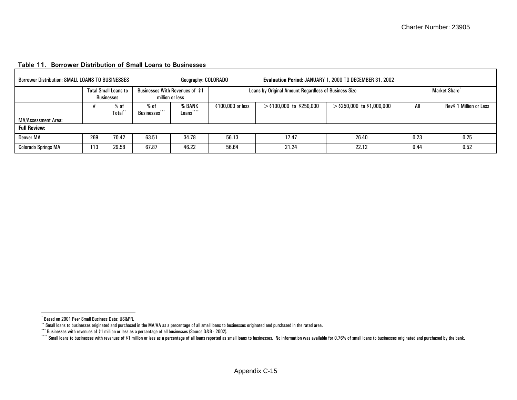| <b>Borrower Distribution: SMALL LOANS TO BUSINESSES</b> |     |                                                                                                            |                                 | Geography: COLORADO |                   |                                                      | Evaluation Period: JANUARY 1, 2000 TO DECEMBER 31, 2002 |      |                           |
|---------------------------------------------------------|-----|------------------------------------------------------------------------------------------------------------|---------------------------------|---------------------|-------------------|------------------------------------------------------|---------------------------------------------------------|------|---------------------------|
|                                                         |     | <b>Total Small Loans to</b><br><b>Businesses</b>                                                           | Businesses With Revenues of \$1 |                     |                   | Loans by Original Amount Regardless of Business Size |                                                         |      | Market Share <sup>®</sup> |
|                                                         |     | million or less<br>% BANK<br>$%$ of<br>% of<br>$* * * *$<br>$* * *$<br>Total<br><b>Businesses</b><br>Loans |                                 |                     | \$100,000 or less | $>$ \$100,000 to \$250,000                           | $>$ \$250,000 to \$1,000,000                            | All  | Rev\$ 1 Million or Less   |
| MA/Assessment Area:                                     |     |                                                                                                            |                                 |                     |                   |                                                      |                                                         |      |                           |
| <b>Full Review:</b>                                     |     |                                                                                                            |                                 |                     |                   |                                                      |                                                         |      |                           |
| Denver MA                                               | 269 | 70.42                                                                                                      | 63.51                           | 34.78               | 56.13             | 17.47                                                | 26.40                                                   | 0.23 | 0.25                      |
| <b>Colorado Springs MA</b>                              | 113 | 29.58                                                                                                      | 67.87                           | 46.22               | 56.64             | 21.24                                                | 22.12                                                   | 0.44 | 0.52                      |

#### <span id="page-35-0"></span>**Table 11. Borrower Distribution of Small Loans to Businesses**

<span id="page-35-2"></span><span id="page-35-1"></span><sup>\*</sup> Based on 2001 Peer Small Business Data: US&PR.

<sup>\*\*</sup> Small loans to businesses originated and purchased in the MA/AA as a percentage of all small loans to businesses originated and purchased in the rated area.

<sup>\*\*\*</sup> Businesses with revenues of \$1 million or less as a percentage of all businesses (Source D&B - 2002).

<span id="page-35-3"></span>Consequent in the Small loans to businesses with revenues of \$1 million or less as a percentage of all loans reported as small loans to businesses. No information was available for 0.76% of small loans to businesses origin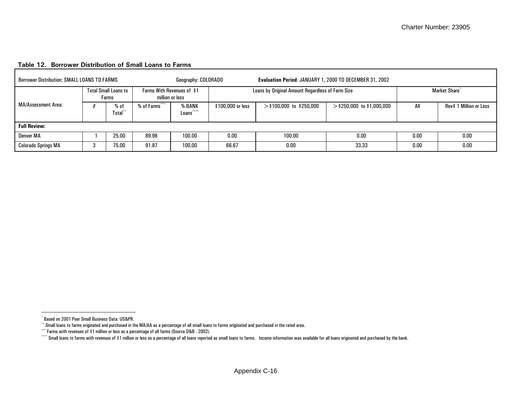| <b>Borrower Distribution: SMALL LOANS TO FARMS</b> |   |                                      |                            | Geography: COLORADO     |                   | Evaluation Period: JANUARY 1, 2000 TO DECEMBER 31, 2002 |                              |      |                           |
|----------------------------------------------------|---|--------------------------------------|----------------------------|-------------------------|-------------------|---------------------------------------------------------|------------------------------|------|---------------------------|
|                                                    |   | <b>Total Small Loans to</b><br>Farms | Farms With Revenues of \$1 | million or less         |                   | Loans by Original Amount Regardless of Farm Size        |                              |      | Market Share <sup>*</sup> |
| MA/Assessment Area:                                |   | % of<br>Total <sup>*</sup>           | % of Farms <sup>*</sup>    | % BANK<br>****<br>Loans | \$100,000 or less | $>$ \$100,000 to \$250,000                              | $>$ \$250,000 to \$1,000,000 | All  | Rev\$ 1 Million or Less   |
| <b>Full Review:</b>                                |   |                                      |                            |                         |                   |                                                         |                              |      |                           |
| Denver MA                                          |   | 25.00                                | 89.98                      | 100.00                  | 0.00              | 100.00                                                  | 0.00                         | 0.00 | 0.00                      |
| <b>Colorado Springs MA</b>                         | 3 | 75.00                                | 91.87                      | 100.00                  | 66.67             | 0.00                                                    | 33.33                        | 0.00 | 0.00                      |

#### <span id="page-36-0"></span>**Table 12. Borrower Distribution of Small Loans to Farms**

<span id="page-36-2"></span><span id="page-36-1"></span><sup>\*</sup> Based on 2001 Peer Small Business Data: US&PR.

 $^{\circ}$  Small loans to farms originated and purchased in the MA/AA as a percentage of all small loans to farms originated and purchased in the rated area.

<sup>\*\*\*</sup> Farms with revenues of \$1 million or less as a percentage of all farms (Source D&B - 2002).

<span id="page-36-3"></span><sup>\*\*\*\*</sup> Small loans to farms with revenues of \$1 million or less as a percentage of all loans reported as small loans to farms. Income information was available for all loans originated and purchased by the bank.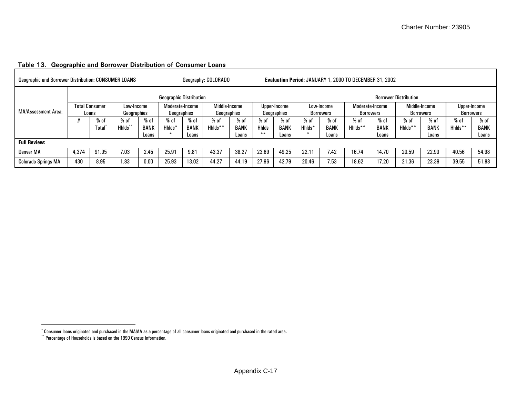<span id="page-37-1"></span>

| <b>Geographic and Borrower Distribution: CONSUMER LOANS</b> |                                         |       |                           |                      |                                |                      | Geography: COLORADO          |                      |                       |                             |        |                         | Evaluation Period: JANUARY 1, 2000 TO DECEMBER 31, 2002 |                              |                              |                            |         |                           |
|-------------------------------------------------------------|-----------------------------------------|-------|---------------------------|----------------------|--------------------------------|----------------------|------------------------------|----------------------|-----------------------|-----------------------------|--------|-------------------------|---------------------------------------------------------|------------------------------|------------------------------|----------------------------|---------|---------------------------|
|                                                             |                                         |       |                           |                      | <b>Geographic Distribution</b> |                      |                              |                      |                       |                             |        |                         |                                                         |                              | <b>Borrower Distribution</b> |                            |         |                           |
| <b>MA/Assessment Area:</b>                                  | <b>Total Consumer</b>                   | Loans | Low-Income<br>Geographies |                      | Moderate-Income<br>Geographies |                      | Middle-Income<br>Geographies |                      |                       | Upper-Income<br>Geographies |        | Low-Income<br>Borrowers |                                                         | Moderate-Income<br>Borrowers |                              | Middle-Income<br>Borrowers |         | Upper-Income<br>Borrowers |
|                                                             |                                         | % of  | % of                      | % of                 | % of                           | $%$ of               | $%$ of                       | $%$ of               | $%$ of                | % of                        | % of   | % of                    | % of                                                    | % of                         | % of                         | % o1                       | $%$ 0   | $%$ of                    |
|                                                             | Hhlds <sup>-</sup><br>Tota <sup>l</sup> |       |                           | <b>BANK</b><br>Loans | Hhlds*                         | <b>BANK</b><br>Loans | Hhlds**                      | <b>BANK</b><br>Loans | <b>Hhlds</b><br>$***$ | <b>BANK</b><br>Loans        | Hhlds* | <b>BANK</b><br>Loans    | Hhlds**                                                 | <b>BANK</b><br>Loans         | Hhlds**                      | <b>BANK</b><br>Loans       | Hhlds** | BANK<br>Loans             |
| <b>Full Review:</b>                                         |                                         |       |                           |                      |                                |                      |                              |                      |                       |                             |        |                         |                                                         |                              |                              |                            |         |                           |
| Denver MA                                                   | 4.374                                   | 91.05 | 7.03                      | 2.45                 | 25.91                          | 9.81                 | 43.37                        | 38.27                | 23.69                 | 49.25                       | 22.11  | 7.42                    | 16.74                                                   | 14.70                        | 20.59                        | 22.90                      | 40.56   | 54.98                     |
| <b>Colorado Springs MA</b>                                  | 430                                     | 8.95  | 1.83                      | 0.00                 | 25.93                          | 13.02                | 44.27                        | 44.19                | 27.96                 | 42.79                       | 20.46  | 7.53                    | 18.62                                                   | 17.20                        | 21.36                        | 23.39                      | 39.55   | 51.88                     |

#### **Table 13. Geographic and Borrower Distribution of Consumer Loans**

<sup>\*</sup> Consumer loans originated and purchased in the MA/AA as a percentage of all consumer loans originated and purchased in the rated area.

<span id="page-37-0"></span><sup>\*\*</sup> Percentage of Households is based on the 1990 Census Information.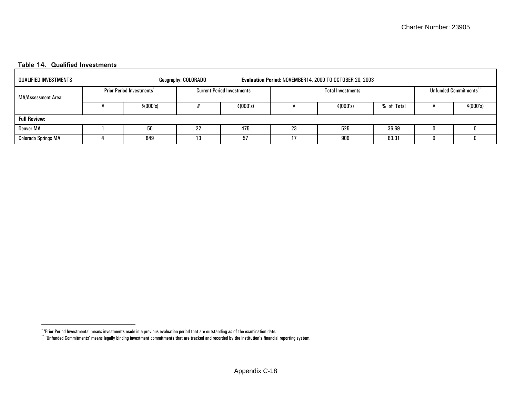#### **Table 14. Qualified Investments**

| QUALIFIED INVESTMENTS      |                                 | Geography: COLORADO |                                   |    | Evaluation Period: NOVEMBER14, 2000 TO OCTOBER 20, 2003 |            |                      |
|----------------------------|---------------------------------|---------------------|-----------------------------------|----|---------------------------------------------------------|------------|----------------------|
| MA/Assessment Area:        | <b>Prior Period Investments</b> |                     | <b>Current Period Investments</b> |    | <b>Total Investments</b>                                |            | Unfunded Commitments |
|                            | \$ (000's)                      |                     | \$ (000's)                        |    | \$ (000's)                                              | % of Total | \$ (000's)           |
| <b>Full Review:</b>        |                                 |                     |                                   |    |                                                         |            |                      |
| <b>Denver MA</b>           | 50                              | 22                  | 475                               | 23 | 525                                                     | 36.69      |                      |
| <b>Colorado Springs MA</b> | 849                             | 13                  | 57                                | 17 | 906                                                     | 63.31      |                      |

<sup>\* &#</sup>x27;Prior Period Investments' means investments made in a previous evaluation period that are outstanding as of the examination date.

<span id="page-38-1"></span><span id="page-38-0"></span> $``$  'Unfunded Commitments' means legally binding investment commitments that are tracked and recorded by the institution's financial reporting system.